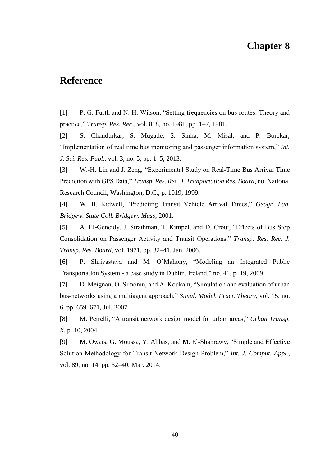## **Chapter 8**

## **Reference**

[1] P. G. Furth and N. H. Wilson, "Setting frequencies on bus routes: Theory and practice," *Transp. Res. Rec.*, vol. 818, no. 1981, pp. 1–7, 1981.

[2] S. Chandurkar, S. Mugade, S. Sinha, M. Misal, and P. Borekar, "Implementation of real time bus monitoring and passenger information system," *Int. J. Sci. Res. Publ.*, vol. 3, no. 5, pp. 1–5, 2013.

[3] W.-H. Lin and J. Zeng, "Experimental Study on Real-Time Bus Arrival Time Prediction with GPS Data," *Transp. Res. Rec. J. Tranportation Res. Board*, no. National Research Council, Washington, D.C., p. 1019, 1999.

[4] W. B. Kidwell, "Predicting Transit Vehicle Arrival Times," *Geogr. Lab. Bridgew. State Coll. Bridgew. Mass*, 2001.

[5] A. EI-Geneidy, J. Strathman, T. Kimpel, and D. Crout, "Effects of Bus Stop Consolidation on Passenger Activity and Transit Operations," *Transp. Res. Rec. J. Transp. Res. Board*, vol. 1971, pp. 32–41, Jan. 2006.

[6] P. Shrivastava and M. O'Mahony, "Modeling an Integrated Public Transportation System - a case study in Dublin, Ireland," no. 41, p. 19, 2009.

[7] D. Meignan, O. Simonin, and A. Koukam, "Simulation and evaluation of urban bus-networks using a multiagent approach," *Simul. Model. Pract. Theory*, vol. 15, no. 6, pp. 659–671, Jul. 2007.

[8] M. Petrelli, "A transit network design model for urban areas," *Urban Transp. X*, p. 10, 2004.

[9] M. Owais, G. Moussa, Y. Abbas, and M. El-Shabrawy, "Simple and Effective Solution Methodology for Transit Network Design Problem," *Int. J. Comput. Appl.*, vol. 89, no. 14, pp. 32–40, Mar. 2014.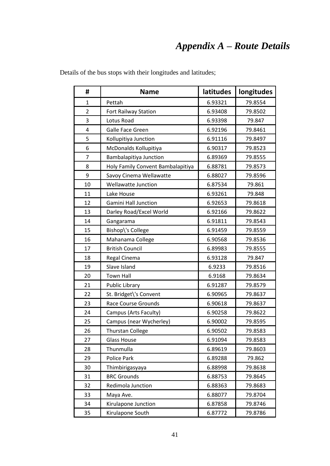## *Appendix A – Route Details*

| #                       | <b>Name</b>                       | <b>latitudes</b> | longitudes |
|-------------------------|-----------------------------------|------------------|------------|
| $\mathbf{1}$            | Pettah                            | 6.93321          | 79.8554    |
| $\overline{2}$          | Fort Railway Station              | 6.93408          | 79.8502    |
| 3                       | Lotus Road                        | 6.93398          | 79.847     |
| $\overline{\mathbf{4}}$ | Galle Face Green                  | 6.92196          | 79.8461    |
| 5                       | Kollupitiya Junction              | 6.91116          | 79.8497    |
| 6                       | McDonalds Kollupitiya             | 6.90317          | 79.8523    |
| 7                       | Bambalapitiya Junction            | 6.89369          | 79.8555    |
| 8                       | Holy Family Convent Bambalapitiya | 6.88781          | 79.8573    |
| 9                       | Savoy Cinema Wellawatte           | 6.88027          | 79.8596    |
| 10                      | <b>Wellawatte Junction</b>        | 6.87534          | 79.861     |
| 11                      | Lake House                        | 6.93261          | 79.848     |
| 12                      | <b>Gamini Hall Junction</b>       | 6.92653          | 79.8618    |
| 13                      | Darley Road/Excel World           | 6.92166          | 79.8622    |
| 14                      | Gangarama                         | 6.91811          | 79.8543    |
| 15                      | Bishop\'s College                 | 6.91459          | 79.8559    |
| 16                      | Mahanama College                  | 6.90568          | 79.8536    |
| 17                      | <b>British Council</b>            | 6.89983          | 79.8555    |
| 18                      | Regal Cinema                      | 6.93128          | 79.847     |
| 19                      | Slave Island                      | 6.9233           | 79.8516    |
| 20                      | <b>Town Hall</b>                  | 6.9168           | 79.8634    |
| 21                      | <b>Public Library</b>             | 6.91287          | 79.8579    |
| 22                      | St. Bridget\'s Convent            | 6.90965          | 79.8637    |
| 23                      | <b>Race Course Grounds</b>        | 6.90618          | 79.8637    |
| 24                      | Campus (Arts Faculty)             | 6.90258          | 79.8622    |
| 25                      | Campus (near Wycherley)           | 6.90002          | 79.8595    |
| 26                      | <b>Thurstan College</b>           | 6.90502          | 79.8583    |
| 27                      | <b>Glass House</b>                | 6.91094          | 79.8583    |
| 28                      | Thunmulla                         | 6.89619          | 79.8603    |
| 29                      | Police Park                       | 6.89288          | 79.862     |
| 30                      | Thimbirigasyaya                   | 6.88998          | 79.8638    |
| 31                      | <b>BRC Grounds</b>                | 6.88753          | 79.8645    |
| 32                      | Redimola Junction                 | 6.88363          | 79.8683    |
| 33                      | Maya Ave.                         | 6.88077          | 79.8704    |
| 34                      | Kirulapone Junction               | 6.87858          | 79.8746    |
| 35                      | Kirulapone South                  | 6.87772          | 79.8786    |

Details of the bus stops with their longitudes and latitudes;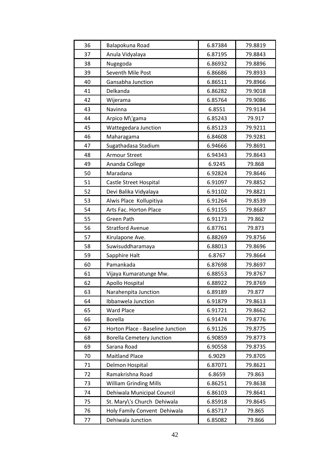| 36 | Balapokuna Road                  | 6.87384 | 79.8819 |
|----|----------------------------------|---------|---------|
| 37 | Anula Vidyalaya                  | 6.87195 | 79.8843 |
| 38 | Nugegoda                         | 6.86932 | 79.8896 |
| 39 | Seventh Mile Post                | 6.86686 | 79.8933 |
| 40 | Gansabha Junction                | 6.86511 | 79.8966 |
| 41 | Delkanda                         | 6.86282 | 79.9018 |
| 42 | Wijerama                         | 6.85764 | 79.9086 |
| 43 | Navinna                          | 6.8551  | 79.9134 |
| 44 | Arpico M\'gama                   | 6.85243 | 79.917  |
| 45 | Wattegedara Junction             | 6.85123 | 79.9211 |
| 46 | Maharagama                       | 6.84608 | 79.9281 |
| 47 | Sugathadasa Stadium              | 6.94666 | 79.8691 |
| 48 | <b>Armour Street</b>             | 6.94343 | 79.8643 |
| 49 | Ananda College                   | 6.9245  | 79.868  |
| 50 | Maradana                         | 6.92824 | 79.8646 |
| 51 | Castle Street Hospital           | 6.91097 | 79.8852 |
| 52 | Devi Balika Vidyalaya            | 6.91102 | 79.8821 |
| 53 | Alwis Place Kollupitiya          | 6.91264 | 79.8539 |
| 54 | Arts Fac. Horton Place           | 6.91155 | 79.8687 |
| 55 | Green Path                       | 6.91173 | 79.862  |
| 56 | <b>Stratford Avenue</b>          | 6.87761 | 79.873  |
| 57 | Kirulapone Ave.                  | 6.88269 | 79.8756 |
| 58 | Suwisuddharamaya                 | 6.88013 | 79.8696 |
| 59 | Sapphire Halt                    | 6.8767  | 79.8664 |
| 60 | Pamankada                        | 6.87698 | 79.8697 |
| 61 | Vijaya Kumaratunge Mw.           | 6.88553 | 79.8767 |
| 62 | Apollo Hospital                  | 6.88922 | 79.8769 |
| 63 | Narahenpita Junction             | 6.89189 | 79.877  |
| 64 | Ibbanwela Junction               | 6.91879 | 79.8613 |
| 65 | <b>Ward Place</b>                | 6.91721 | 79.8662 |
| 66 | <b>Borella</b>                   | 6.91474 | 79.8776 |
| 67 | Horton Place - Baseline Junction | 6.91126 | 79.8775 |
| 68 | <b>Borella Cemetery Junction</b> | 6.90859 | 79.8773 |
| 69 | Sarana Road                      | 6.90558 | 79.8735 |
| 70 | <b>Maitland Place</b>            | 6.9029  | 79.8705 |
| 71 | Delmon Hospital                  | 6.87071 | 79.8621 |
| 72 | Ramakrishna Road                 | 6.8659  | 79.863  |
| 73 | <b>William Grinding Mills</b>    | 6.86251 | 79.8638 |
| 74 | Dehiwala Municipal Council       | 6.86103 | 79.8641 |
| 75 | St. Mary\'s Church Dehiwala      | 6.85918 | 79.8645 |
| 76 | Holy Family Convent Dehiwala     | 6.85717 | 79.865  |
| 77 | Dehiwala Junction                | 6.85082 | 79.866  |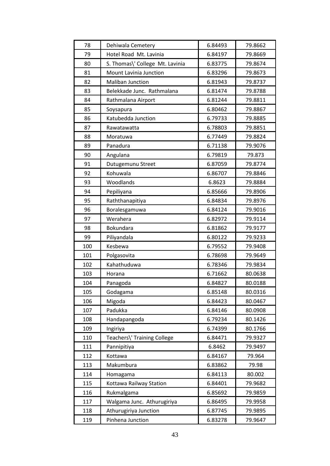| 78  | Dehiwala Cemetery               | 6.84493 | 79.8662 |
|-----|---------------------------------|---------|---------|
| 79  | Hotel Road Mt. Lavinia          | 6.84197 | 79.8669 |
| 80  | S. Thomas\' College Mt. Lavinia | 6.83775 | 79.8674 |
| 81  | Mount Lavinia Junction          | 6.83296 | 79.8673 |
| 82  | <b>Maliban Junction</b>         | 6.81943 | 79.8737 |
| 83  | Belekkade Junc. Rathmalana      | 6.81474 | 79.8788 |
| 84  | Rathmalana Airport              | 6.81244 | 79.8811 |
| 85  | Soysapura                       | 6.80462 | 79.8867 |
| 86  | Katubedda Junction              | 6.79733 | 79.8885 |
| 87  | Rawatawatta                     | 6.78803 | 79.8851 |
| 88  | Moratuwa                        | 6.77449 | 79.8824 |
| 89  | Panadura                        | 6.71138 | 79.9076 |
| 90  | Angulana                        | 6.79819 | 79.873  |
| 91  | Dutugemunu Street               | 6.87059 | 79.8774 |
| 92  | Kohuwala                        | 6.86707 | 79.8846 |
| 93  | Woodlands                       | 6.8623  | 79.8884 |
| 94  | Pepiliyana                      | 6.85666 | 79.8906 |
| 95  | Raththanapitiya                 | 6.84834 | 79.8976 |
| 96  | Boralesgamuwa                   | 6.84124 | 79.9016 |
| 97  | Werahera                        | 6.82972 | 79.9114 |
| 98  | Bokundara                       | 6.81862 | 79.9177 |
| 99  | Piliyandala                     | 6.80122 | 79.9233 |
| 100 | Kesbewa                         | 6.79552 | 79.9408 |
| 101 | Polgasovita                     | 6.78698 | 79.9649 |
| 102 | Kahathuduwa                     | 6.78346 | 79.9834 |
| 103 | Horana                          | 6.71662 | 80.0638 |
| 104 | Panagoda                        | 6.84827 | 80.0188 |
| 105 | Godagama                        | 6.85148 | 80.0316 |
| 106 | Migoda                          | 6.84423 | 80.0467 |
| 107 | Padukka                         | 6.84146 | 80.0908 |
| 108 | Handapangoda                    | 6.79234 | 80.1426 |
| 109 | Ingiriya                        | 6.74399 | 80.1766 |
| 110 | Teachers\' Training College     | 6.84471 | 79.9327 |
| 111 | Pannipitiya                     | 6.8462  | 79.9497 |
| 112 | Kottawa                         | 6.84167 | 79.964  |
| 113 | Makumbura                       | 6.83862 | 79.98   |
| 114 | Homagama                        | 6.84113 | 80.002  |
| 115 | Kottawa Railway Station         | 6.84401 | 79.9682 |
| 116 | Rukmalgama                      | 6.85692 | 79.9859 |
| 117 | Walgama Junc. Athurugiriya      | 6.86495 | 79.9958 |
| 118 | Athurugiriya Junction           | 6.87745 | 79.9895 |
| 119 | Pinhena Junction                | 6.83278 | 79.9647 |